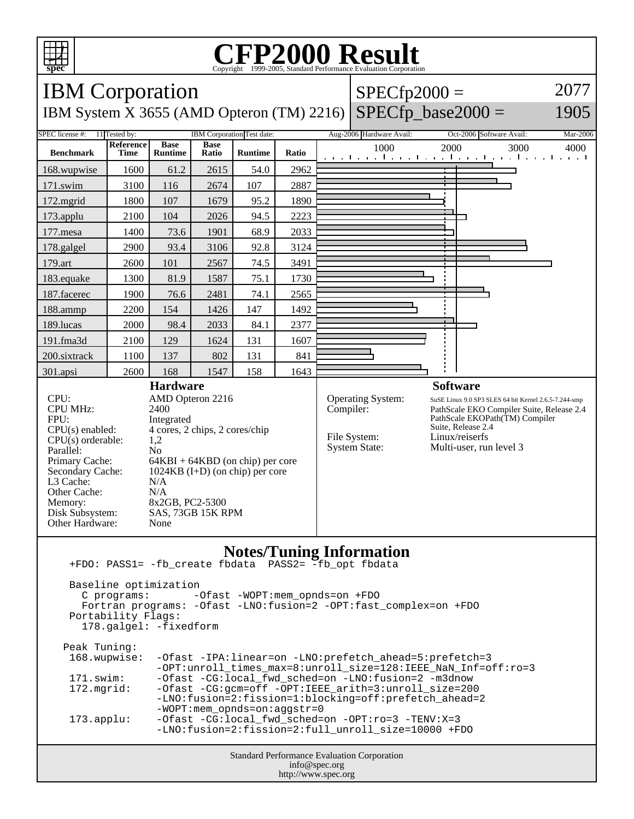

## C<sub>opyright</sub> ©1999-2005, Standard Performance Evaluation Corporation

| ppec                                                                                                                                                                                                                                                            |                          |                               |                      |                            |       |                          | Copyright @1999-2009, Dianuaru i criormance Evanuation Corporation |                          |                                                                                                                                                                                                                            |      |  |  |
|-----------------------------------------------------------------------------------------------------------------------------------------------------------------------------------------------------------------------------------------------------------------|--------------------------|-------------------------------|----------------------|----------------------------|-------|--------------------------|--------------------------------------------------------------------|--------------------------|----------------------------------------------------------------------------------------------------------------------------------------------------------------------------------------------------------------------------|------|--|--|
| 2077<br><b>IBM</b> Corporation<br>$SPECfp2000 =$                                                                                                                                                                                                                |                          |                               |                      |                            |       |                          |                                                                    |                          |                                                                                                                                                                                                                            |      |  |  |
| $SPECfp\_base2000 =$<br>1905<br>IBM System X 3655 (AMD Opteron (TM) 2216)                                                                                                                                                                                       |                          |                               |                      |                            |       |                          |                                                                    |                          |                                                                                                                                                                                                                            |      |  |  |
| SPEC license #:                                                                                                                                                                                                                                                 | 11 Tested by:            |                               |                      | IBM Corporation Test date: |       | Aug-2006 Hardware Avail: |                                                                    | Oct-2006 Software Avail: | Mar-2006                                                                                                                                                                                                                   |      |  |  |
| <b>Benchmark</b>                                                                                                                                                                                                                                                | <b>Reference</b><br>Time | <b>Base</b><br><b>Runtime</b> | <b>Base</b><br>Ratio | <b>Runtime</b>             | Ratio |                          | 1000                                                               | 2000                     | 3000<br>المتوجبا وتوجا وتوجا وتوجا وتوجا وتوجا وتوجا وتوج                                                                                                                                                                  | 4000 |  |  |
| 168.wupwise                                                                                                                                                                                                                                                     | 1600                     | 61.2                          | 2615                 | 54.0                       | 2962  |                          |                                                                    |                          |                                                                                                                                                                                                                            |      |  |  |
| 171.swim                                                                                                                                                                                                                                                        | 3100                     | 116                           | 2674                 | 107                        | 2887  |                          |                                                                    |                          |                                                                                                                                                                                                                            |      |  |  |
| 172.mgrid                                                                                                                                                                                                                                                       | 1800                     | 107                           | 1679                 | 95.2                       | 1890  |                          |                                                                    |                          |                                                                                                                                                                                                                            |      |  |  |
| 173.applu                                                                                                                                                                                                                                                       | 2100                     | 104                           | 2026                 | 94.5                       | 2223  |                          |                                                                    |                          |                                                                                                                                                                                                                            |      |  |  |
| 177.mesa                                                                                                                                                                                                                                                        | 1400                     | 73.6                          | 1901                 | 68.9                       | 2033  |                          |                                                                    |                          |                                                                                                                                                                                                                            |      |  |  |
| 178.galgel                                                                                                                                                                                                                                                      | 2900                     | 93.4                          | 3106                 | 92.8                       | 3124  |                          |                                                                    |                          |                                                                                                                                                                                                                            |      |  |  |
| 179.art                                                                                                                                                                                                                                                         | 2600                     | 101                           | 2567                 | 74.5                       | 3491  |                          |                                                                    |                          |                                                                                                                                                                                                                            |      |  |  |
| 183.equake                                                                                                                                                                                                                                                      | 1300                     | 81.9                          | 1587                 | 75.1                       | 1730  |                          |                                                                    |                          |                                                                                                                                                                                                                            |      |  |  |
| 187.facerec                                                                                                                                                                                                                                                     | 1900                     | 76.6                          | 2481                 | 74.1                       | 2565  |                          |                                                                    |                          |                                                                                                                                                                                                                            |      |  |  |
| 188.ammp                                                                                                                                                                                                                                                        | 2200                     | 154                           | 1426                 | 147                        | 1492  |                          |                                                                    |                          |                                                                                                                                                                                                                            |      |  |  |
| 189.lucas                                                                                                                                                                                                                                                       | 2000                     | 98.4                          | 2033                 | 84.1                       | 2377  |                          |                                                                    |                          |                                                                                                                                                                                                                            |      |  |  |
| 191.fma3d                                                                                                                                                                                                                                                       | 2100                     | 129                           | 1624                 | 131                        | 1607  |                          |                                                                    |                          |                                                                                                                                                                                                                            |      |  |  |
| 200.sixtrack                                                                                                                                                                                                                                                    | 1100                     | 137                           | 802                  | 131                        | 841   |                          |                                                                    |                          |                                                                                                                                                                                                                            |      |  |  |
| 301.apsi                                                                                                                                                                                                                                                        | 2600                     | 168                           | 1547                 | 158                        | 1643  |                          |                                                                    |                          |                                                                                                                                                                                                                            |      |  |  |
| <b>Hardware</b><br>CPU:<br>AMD Opteron 2216<br><b>CPU MHz:</b><br>2400<br>FPU:<br>Integrated<br>$CPU(s)$ enabled:<br>4 cores, 2 chips, 2 cores/chip<br>$CPU(s)$ orderable:<br>1,2<br>Parallel:<br>N <sub>o</sub>                                                |                          |                               |                      |                            |       | Compiler:                | Operating System:<br>File System:<br><b>System State:</b>          |                          | <b>Software</b><br>SuSE Linux 9.0 SP3 SLES 64 bit Kernel 2.6.5-7.244-smp<br>PathScale EKO Compiler Suite, Release 2.4<br>PathScale EKOPath(TM) Compiler<br>Suite, Release 2.4<br>Linux/reiserfs<br>Multi-user, run level 3 |      |  |  |
| Primary Cache:<br>$64KBI + 64KBD$ (on chip) per core<br>Secondary Cache:<br>$1024KB$ (I+D) (on chip) per core<br>L3 Cache:<br>N/A<br>Other Cache:<br>N/A<br>8x2GB, PC2-5300<br>Memory:<br>Disk Subsystem:<br>SAS, 73GB 15K RPM<br>Other Hardware:<br>None       |                          |                               |                      |                            |       |                          |                                                                    |                          |                                                                                                                                                                                                                            |      |  |  |
| <b>Notes/Tuning Information</b><br>+FDO: PASS1= -fb_create fbdata PASS2= -fb_opt fbdata<br>Baseline optimization<br>C programs:<br>-Ofast -WOPT:mem_opnds=on +FDO<br>Fortran programs: - Ofast -LNO: fusion=2 - OPT: fast_complex=on +FDO<br>Portability Flags: |                          |                               |                      |                            |       |                          |                                                                    |                          |                                                                                                                                                                                                                            |      |  |  |
| 178.galgel: -fixedform                                                                                                                                                                                                                                          |                          |                               |                      |                            |       |                          |                                                                    |                          |                                                                                                                                                                                                                            |      |  |  |

Peak Tuning: 168.wupwise: -Ofast -IPA:linear=on -LNO:prefetch\_ahead=5:prefetch=3 -OPT:unroll\_times\_max=8:unroll\_size=128:IEEE\_NaN\_Inf=off:ro=3 171.swim: -Ofast -CG:local\_fwd\_sched=on -LNO:fusion=2 -m3dnow<br>172.mgrid: -Ofast -CG:gcm=off -OPT:IEEE\_arith=3:unroll\_size=200 -Ofast -CG:gcm=off -OPT:IEEE\_arith=3:unroll\_size=200 -LNO:fusion=2:fission=1:blocking=off:prefetch\_ahead=2 -WOPT:mem\_opnds=on:aggstr=0 173.applu: -Ofast -CG:local\_fwd\_sched=on -OPT:ro=3 -TENV:X=3 -LNO:fusion=2:fission=2:full\_unroll\_size=10000 +FDO

> Standard Performance Evaluation Corporation info@spec.org http://www.spec.org